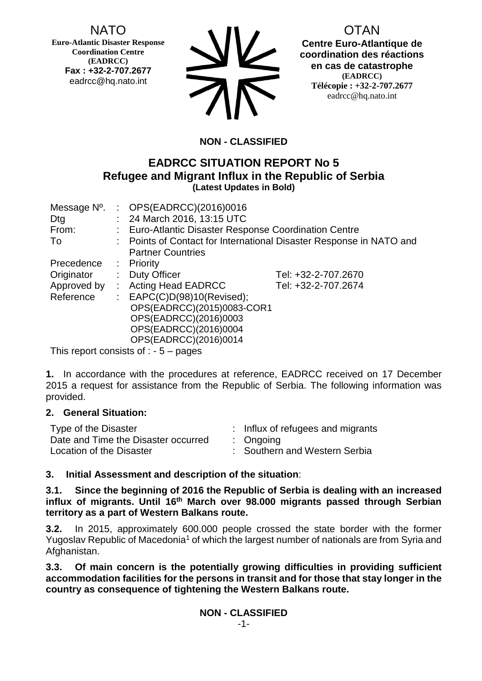NATO

**Euro-Atlantic Disaster Response Coordination Centre (EADRCC) Fax : +32-2-707.2677** eadrcc@hq.nato.int



OTAN **Centre Euro-Atlantique de coordination des réactions en cas de catastrophe (EADRCC) Télécopie : +32-2-707.2677** eadrcc@hq.nato.int

# **NON - CLASSIFIED**

## **EADRCC SITUATION REPORT No 5 Refugee and Migrant Influx in the Republic of Serbia (Latest Updates in Bold)**

| Message N°. |                | : $OPS(EADRCC)(2016)0016$                                           |                     |  |
|-------------|----------------|---------------------------------------------------------------------|---------------------|--|
| Dtg         |                | : 24 March 2016, 13:15 UTC                                          |                     |  |
| From:       |                | Euro-Atlantic Disaster Response Coordination Centre                 |                     |  |
| To          |                | : Points of Contact for International Disaster Response in NATO and |                     |  |
|             |                | <b>Partner Countries</b>                                            |                     |  |
| Precedence  |                | $:$ Priority                                                        |                     |  |
| Originator  | t.             | <b>Duty Officer</b>                                                 | Tel: +32-2-707.2670 |  |
| Approved by | $\mathbb{R}^n$ | <b>Acting Head EADRCC</b>                                           | Tel: +32-2-707.2674 |  |
| Reference   |                | : $EAPC(C)D(98)10(Revised);$                                        |                     |  |
|             |                | OPS(EADRCC)(2015)0083-COR1                                          |                     |  |
|             |                | OPS(EADRCC)(2016)0003                                               |                     |  |
|             |                | OPS(EADRCC)(2016)0004                                               |                     |  |
|             |                | OPS(EADRCC)(2016)0014                                               |                     |  |
|             |                | This report consists of $\cdot$ 5 $\cdot$ pages                     |                     |  |

This report consists of  $: -5 -$  pages

**1.** In accordance with the procedures at reference, EADRCC received on 17 December 2015 a request for assistance from the Republic of Serbia. The following information was provided.

### **2. General Situation:**

| Type of the Disaster                | : Influx of refugees and migrants |  |
|-------------------------------------|-----------------------------------|--|
| Date and Time the Disaster occurred | $:$ Ongoing                       |  |
| Location of the Disaster            | : Southern and Western Serbia     |  |

## **3. Initial Assessment and description of the situation**:

**3.1. Since the beginning of 2016 the Republic of Serbia is dealing with an increased influx of migrants. Until 16th March over 98.000 migrants passed through Serbian territory as a part of Western Balkans route.** 

**3.2.** In 2015, approximately 600.000 people crossed the state border with the former Yugoslav Republic of Macedonia<sup>1</sup> of which the largest number of nationals are from Syria and Afghanistan.

**3.3. Of main concern is the potentially growing difficulties in providing sufficient accommodation facilities for the persons in transit and for those that stay longer in the country as consequence of tightening the Western Balkans route.**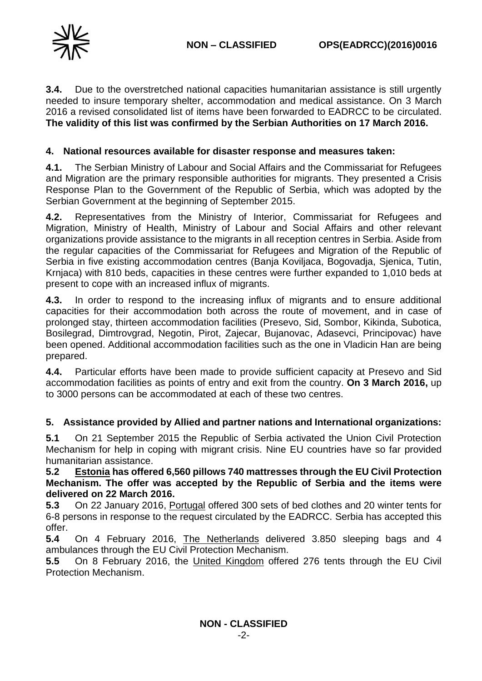**3.4.** Due to the overstretched national capacities humanitarian assistance is still urgently needed to insure temporary shelter, accommodation and medical assistance. On 3 March 2016 a revised consolidated list of items have been forwarded to EADRCC to be circulated. **The validity of this list was confirmed by the Serbian Authorities on 17 March 2016.**

### **4. National resources available for disaster response and measures taken:**

**4.1.** The Serbian Ministry of Labour and Social Affairs and the Commissariat for Refugees and Migration are the primary responsible authorities for migrants. They presented a Crisis Response Plan to the Government of the Republic of Serbia, which was adopted by the Serbian Government at the beginning of September 2015.

**4.2.** Representatives from the Ministry of Interior, Commissariat for Refugees and Migration, Ministry of Health, Ministry of Labour and Social Affairs and other relevant organizations provide assistance to the migrants in all reception centres in Serbia. Aside from the regular capacities of the Commissariat for Refugees and Migration of the Republic of Serbia in five existing accommodation centres (Banja Koviljaca, Bogovadja, Sjenica, Tutin, Krnjaca) with 810 beds, capacities in these centres were further expanded to 1,010 beds at present to cope with an increased influx of migrants.

**4.3.** In order to respond to the increasing influx of migrants and to ensure additional capacities for their accommodation both across the route of movement, and in case of prolonged stay, thirteen accommodation facilities (Presevo, Sid, Sombor, Kikinda, Subotica, Bosilegrad, Dimtrovgrad, Negotin, Pirot, Zajecar, Bujanovac, Adasevci, Principovac) have been opened. Additional accommodation facilities such as the one in Vladicin Han are being prepared.

**4.4.** Particular efforts have been made to provide sufficient capacity at Presevo and Sid accommodation facilities as points of entry and exit from the country. **On 3 March 2016,** up to 3000 persons can be accommodated at each of these two centres.

### **5. Assistance provided by Allied and partner nations and International organizations:**

**5.1** On 21 September 2015 the Republic of Serbia activated the Union Civil Protection Mechanism for help in coping with migrant crisis. Nine EU countries have so far provided humanitarian assistance.

**5.2 Estonia has offered 6,560 pillows 740 mattresses through the EU Civil Protection Mechanism. The offer was accepted by the Republic of Serbia and the items were delivered on 22 March 2016.**

**5.3** On 22 January 2016, Portugal offered 300 sets of bed clothes and 20 winter tents for 6-8 persons in response to the request circulated by the EADRCC. Serbia has accepted this offer.

**5.4** On 4 February 2016, The Netherlands delivered 3.850 sleeping bags and 4 ambulances through the EU Civil Protection Mechanism.

**5.5** On 8 February 2016, the United Kingdom offered 276 tents through the EU Civil Protection Mechanism.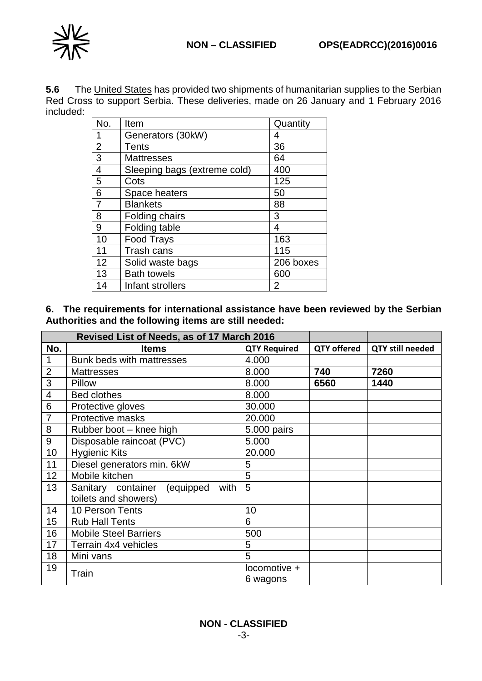

**5.6** The United States has provided two shipments of humanitarian supplies to the Serbian Red Cross to support Serbia. These deliveries, made on 26 January and 1 February 2016 included:

| No.            | Item                         | Quantity  |
|----------------|------------------------------|-----------|
| 1              | Generators (30kW)            | 4         |
| $\overline{2}$ | Tents                        | 36        |
| 3              | <b>Mattresses</b>            | 64        |
| 4              | Sleeping bags (extreme cold) | 400       |
| 5              | Cots                         | 125       |
| 6              | Space heaters                | 50        |
| $\overline{7}$ | <b>Blankets</b>              | 88        |
| 8              | Folding chairs               | 3         |
| 9              | Folding table                | 4         |
| 10             | <b>Food Trays</b>            | 163       |
| 11             | Trash cans                   | 115       |
| 12             | Solid waste bags             | 206 boxes |
| 13             | <b>Bath towels</b>           | 600       |
| 14             | Infant strollers             | 2         |

**6. The requirements for international assistance have been reviewed by the Serbian Authorities and the following items are still needed:**

| Revised List of Needs, as of 17 March 2016 |                                      |                     |                    |                         |
|--------------------------------------------|--------------------------------------|---------------------|--------------------|-------------------------|
| No.                                        | <b>Items</b>                         | <b>QTY Required</b> | <b>QTY offered</b> | <b>QTY still needed</b> |
| $\mathbf{1}$                               | Bunk beds with mattresses            | 4.000               |                    |                         |
| $\overline{2}$                             | <b>Mattresses</b>                    | 8.000               | 740                | 7260                    |
| 3                                          | Pillow                               | 8.000               | 6560               | 1440                    |
| $\overline{\mathbf{4}}$                    | <b>Bed clothes</b>                   | 8.000               |                    |                         |
| $\overline{6}$                             | Protective gloves                    | 30.000              |                    |                         |
| $\overline{7}$                             | Protective masks                     | 20.000              |                    |                         |
| 8                                          | Rubber boot - knee high              | 5.000 pairs         |                    |                         |
| $\boldsymbol{9}$                           | Disposable raincoat (PVC)            | 5.000               |                    |                         |
| 10                                         | <b>Hygienic Kits</b>                 | 20.000              |                    |                         |
| 11                                         | Diesel generators min. 6kW           | 5                   |                    |                         |
| 12                                         | Mobile kitchen                       | 5                   |                    |                         |
| 13                                         | Sanitary container (equipped<br>with | 5                   |                    |                         |
|                                            | toilets and showers)                 |                     |                    |                         |
| 14                                         | 10 Person Tents                      | 10                  |                    |                         |
| 15                                         | <b>Rub Hall Tents</b>                | 6                   |                    |                         |
| 16                                         | <b>Mobile Steel Barriers</b>         | 500                 |                    |                         |
| 17                                         | Terrain 4x4 vehicles                 | 5                   |                    |                         |
| 18                                         | Mini vans                            | 5                   |                    |                         |
| 19<br>Train                                |                                      | locomotive +        |                    |                         |
|                                            |                                      | 6 wagons            |                    |                         |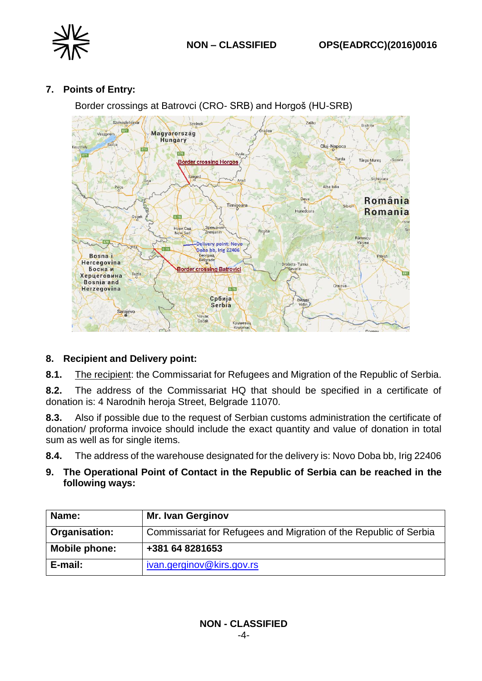# **7. Points of Entry:**

Border crossings at Batrovci (CRO- SRB) and Horgoš (HU-SRB)



## **8. Recipient and Delivery point:**

**8.1.** The recipient: the Commissariat for Refugees and Migration of the Republic of Serbia.

**8.2.** The address of the Commissariat HQ that should be specified in a certificate of donation is: 4 Narodnih heroja Street, Belgrade 11070.

**8.3.** Also if possible due to the request of Serbian customs administration the certificate of donation/ proforma invoice should include the exact quantity and value of donation in total sum as well as for single items.

**8.4.** The address of the warehouse designated for the delivery is: Novo Doba bb, Irig 22406

**9. The Operational Point of Contact in the Republic of Serbia can be reached in the following ways:**

| Name:         | <b>Mr. Ivan Gerginov</b>                                          |
|---------------|-------------------------------------------------------------------|
| Organisation: | Commissariat for Refugees and Migration of the Republic of Serbia |
| Mobile phone: | +381 64 8281653                                                   |
| E-mail:       | ivan.gerginov@kirs.gov.rs                                         |